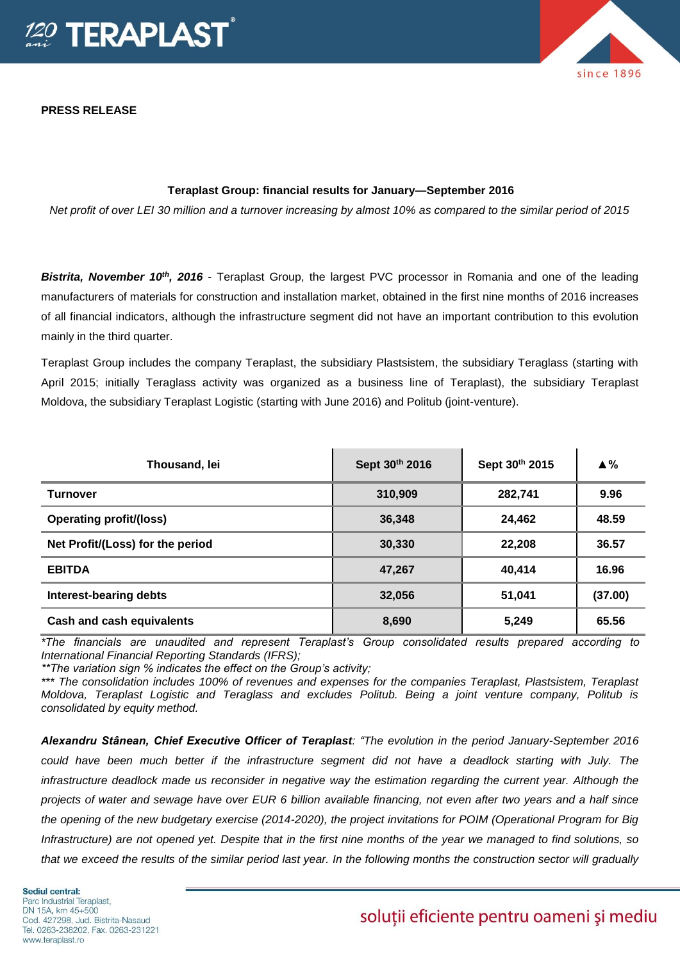

**PRESS RELEASE**

# since 1896

## **Teraplast Group: financial results for January—September 2016**

*Net profit of over LEI 30 million and a turnover increasing by almost 10% as compared to the similar period of 2015*

*Bistrita, November 10th, 2016* - Teraplast Group, the largest PVC processor in Romania and one of the leading manufacturers of materials for construction and installation market, obtained in the first nine months of 2016 increases of all financial indicators, although the infrastructure segment did not have an important contribution to this evolution mainly in the third quarter.

Teraplast Group includes the company Teraplast, the subsidiary Plastsistem, the subsidiary Teraglass (starting with April 2015; initially Teraglass activity was organized as a business line of Teraplast), the subsidiary Teraplast Moldova, the subsidiary Teraplast Logistic (starting with June 2016) and Politub (joint-venture).

| Thousand, lei                    | Sept 30th 2016 | Sept 30th 2015 | $\triangle$ % |
|----------------------------------|----------------|----------------|---------------|
| <b>Turnover</b>                  | 310,909        | 282,741        | 9.96          |
| <b>Operating profit/(loss)</b>   | 36,348         | 24,462         | 48.59         |
| Net Profit/(Loss) for the period | 30,330         | 22,208         | 36.57         |
| <b>EBITDA</b>                    | 47,267         | 40.414         | 16.96         |
| <b>Interest-bearing debts</b>    | 32,056         | 51,041         | (37.00)       |
| <b>Cash and cash equivalents</b> | 8,690          | 5,249          | 65.56         |

*\*The financials are unaudited and represent Teraplast's Group consolidated results prepared according to International Financial Reporting Standards (IFRS);*

*\*\*The variation sign % indicates the effect on the Group's activity;*

*\*\*\* The consolidation includes 100% of revenues and expenses for the companies Teraplast, Plastsistem, Teraplast Moldova, Teraplast Logistic and Teraglass and excludes Politub. Being a joint venture company, Politub is consolidated by equity method.* 

*Alexandru Stânean, Chief Executive Officer of Teraplast: "The evolution in the period January-September 2016 could have been much better if the infrastructure segment did not have a deadlock starting with July. The infrastructure deadlock made us reconsider in negative way the estimation regarding the current year. Although the projects of water and sewage have over EUR 6 billion available financing, not even after two years and a half since the opening of the new budgetary exercise (2014-2020), the project invitations for POIM (Operational Program for Big Infrastructure) are not opened yet. Despite that in the first nine months of the year we managed to find solutions, so that we exceed the results of the similar period last year. In the following months the construction sector will gradually* 

# soluții eficiente pentru oameni și mediu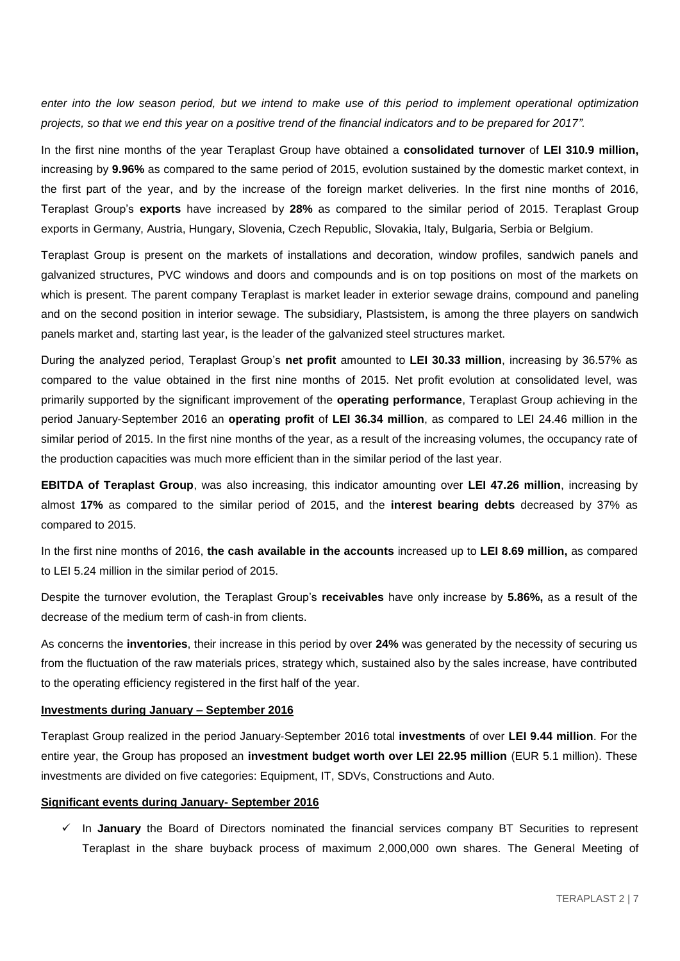*enter into the low season period, but we intend to make use of this period to implement operational optimization projects, so that we end this year on a positive trend of the financial indicators and to be prepared for 2017".* 

In the first nine months of the year Teraplast Group have obtained a **consolidated turnover** of **LEI 310.9 million,**  increasing by **9.96%** as compared to the same period of 2015, evolution sustained by the domestic market context, in the first part of the year, and by the increase of the foreign market deliveries. In the first nine months of 2016, Teraplast Group's **exports** have increased by **28%** as compared to the similar period of 2015. Teraplast Group exports in Germany, Austria, Hungary, Slovenia, Czech Republic, Slovakia, Italy, Bulgaria, Serbia or Belgium.

Teraplast Group is present on the markets of installations and decoration, window profiles, sandwich panels and galvanized structures, PVC windows and doors and compounds and is on top positions on most of the markets on which is present. The parent company Teraplast is market leader in exterior sewage drains, compound and paneling and on the second position in interior sewage. The subsidiary, Plastsistem, is among the three players on sandwich panels market and, starting last year, is the leader of the galvanized steel structures market.

During the analyzed period, Teraplast Group's **net profit** amounted to **LEI 30.33 million**, increasing by 36.57% as compared to the value obtained in the first nine months of 2015. Net profit evolution at consolidated level, was primarily supported by the significant improvement of the **operating performance**, Teraplast Group achieving in the period January-September 2016 an **operating profit** of **LEI 36.34 million**, as compared to LEI 24.46 million in the similar period of 2015. In the first nine months of the year, as a result of the increasing volumes, the occupancy rate of the production capacities was much more efficient than in the similar period of the last year.

**EBITDA of Teraplast Group**, was also increasing, this indicator amounting over **LEI 47.26 million**, increasing by almost **17%** as compared to the similar period of 2015, and the **interest bearing debts** decreased by 37% as compared to 2015.

In the first nine months of 2016, **the cash available in the accounts** increased up to **LEI 8.69 million,** as compared to LEI 5.24 million in the similar period of 2015.

Despite the turnover evolution, the Teraplast Group's **receivables** have only increase by **5.86%,** as a result of the decrease of the medium term of cash-in from clients.

As concerns the **inventories**, their increase in this period by over **24%** was generated by the necessity of securing us from the fluctuation of the raw materials prices, strategy which, sustained also by the sales increase, have contributed to the operating efficiency registered in the first half of the year.

#### **Investments during January – September 2016**

Teraplast Group realized in the period January-September 2016 total **investments** of over **LEI 9.44 million**. For the entire year, the Group has proposed an **investment budget worth over LEI 22.95 million** (EUR 5.1 million). These investments are divided on five categories: Equipment, IT, SDVs, Constructions and Auto.

#### **Significant events during January- September 2016**

 In **January** the Board of Directors nominated the financial services company BT Securities to represent Teraplast in the share buyback process of maximum 2,000,000 own shares. The General Meeting of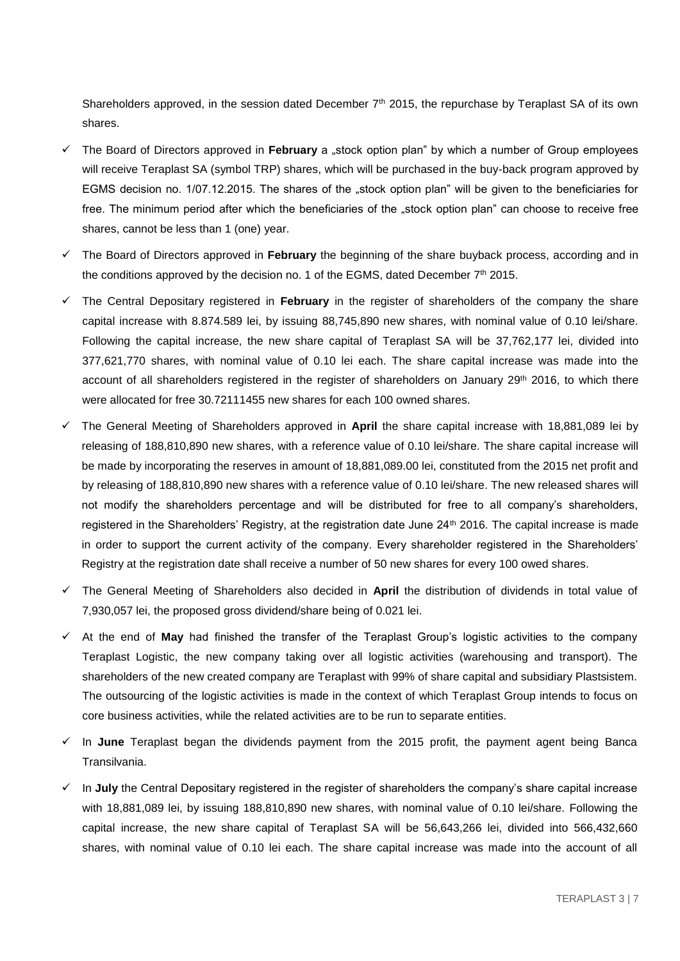Shareholders approved, in the session dated December 7<sup>th</sup> 2015, the repurchase by Teraplast SA of its own shares.

- $\checkmark$  The Board of Directors approved in **February** a stock option plan" by which a number of Group employees will receive Teraplast SA (symbol TRP) shares, which will be purchased in the buy-back program approved by EGMS decision no. 1/07.12.2015. The shares of the "stock option plan" will be given to the beneficiaries for free. The minimum period after which the beneficiaries of the "stock option plan" can choose to receive free shares, cannot be less than 1 (one) year.
- The Board of Directors approved in **February** the beginning of the share buyback process, according and in the conditions approved by the decision no. 1 of the EGMS, dated December  $7<sup>th</sup>$  2015.
- The Central Depositary registered in **February** in the register of shareholders of the company the share capital increase with 8.874.589 lei, by issuing 88,745,890 new shares, with nominal value of 0.10 lei/share. Following the capital increase, the new share capital of Teraplast SA will be 37,762,177 lei, divided into 377,621,770 shares, with nominal value of 0.10 lei each. The share capital increase was made into the account of all shareholders registered in the register of shareholders on January 29<sup>th</sup> 2016, to which there were allocated for free 30.72111455 new shares for each 100 owned shares.
- The General Meeting of Shareholders approved in **April** the share capital increase with 18,881,089 lei by releasing of 188,810,890 new shares, with a reference value of 0.10 lei/share. The share capital increase will be made by incorporating the reserves in amount of 18,881,089.00 lei, constituted from the 2015 net profit and by releasing of 188,810,890 new shares with a reference value of 0.10 lei/share. The new released shares will not modify the shareholders percentage and will be distributed for free to all company's shareholders, registered in the Shareholders' Registry, at the registration date June 24<sup>th</sup> 2016. The capital increase is made in order to support the current activity of the company. Every shareholder registered in the Shareholders' Registry at the registration date shall receive a number of 50 new shares for every 100 owed shares.
- The General Meeting of Shareholders also decided in **April** the distribution of dividends in total value of 7,930,057 lei, the proposed gross dividend/share being of 0.021 lei.
- $\checkmark$  At the end of **May** had finished the transfer of the Teraplast Group's logistic activities to the company Teraplast Logistic, the new company taking over all logistic activities (warehousing and transport). The shareholders of the new created company are Teraplast with 99% of share capital and subsidiary Plastsistem. The outsourcing of the logistic activities is made in the context of which Teraplast Group intends to focus on core business activities, while the related activities are to be run to separate entities.
- $\checkmark$  In June Teraplast began the dividends payment from the 2015 profit, the payment agent being Banca Transilvania.
- In **July** the Central Depositary registered in the register of shareholders the company's share capital increase with 18,881,089 lei, by issuing 188,810,890 new shares, with nominal value of 0.10 lei/share. Following the capital increase, the new share capital of Teraplast SA will be 56,643,266 lei, divided into 566,432,660 shares, with nominal value of 0.10 lei each. The share capital increase was made into the account of all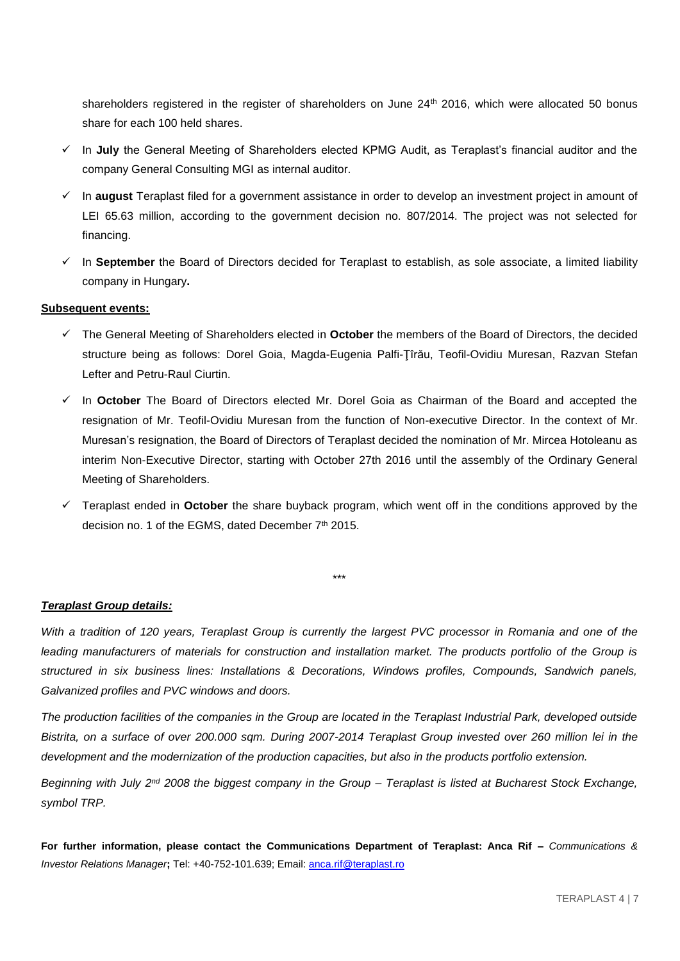shareholders registered in the register of shareholders on June 24<sup>th</sup> 2016, which were allocated 50 bonus share for each 100 held shares.

- In **July** the General Meeting of Shareholders elected KPMG Audit, as Teraplast's financial auditor and the company General Consulting MGI as internal auditor.
- $\checkmark$  In **august** Teraplast filed for a government assistance in order to develop an investment project in amount of LEI 65.63 million, according to the government decision no. 807/2014. The project was not selected for financing.
- $\checkmark$  In September the Board of Directors decided for Teraplast to establish, as sole associate, a limited liability company in Hungary**.**

#### **Subsequent events:**

- The General Meeting of Shareholders elected in **October** the members of the Board of Directors, the decided structure being as follows: Dorel Goia, Magda-Eugenia Palfi-Ţîrău, Teofil-Ovidiu Muresan, Razvan Stefan Lefter and Petru-Raul Ciurtin.
- In **October** The Board of Directors elected Mr. Dorel Goia as Chairman of the Board and accepted the resignation of Mr. Teofil-Ovidiu Muresan from the function of Non-executive Director. In the context of Mr. Muresan's resignation, the Board of Directors of Teraplast decided the nomination of Mr. Mircea Hotoleanu as interim Non-Executive Director, starting with October 27th 2016 until the assembly of the Ordinary General Meeting of Shareholders.
- $\checkmark$  Teraplast ended in **October** the share buyback program, which went off in the conditions approved by the decision no. 1 of the EGMS, dated December 7<sup>th</sup> 2015.

#### *Teraplast Group details:*

*With a tradition of 120 years, Teraplast Group is currently the largest PVC processor in Romania and one of the*  leading manufacturers of materials for construction and installation market. The products portfolio of the Group is *structured in six business lines: Installations & Decorations, Windows profiles, Compounds, Sandwich panels, Galvanized profiles and PVC windows and doors.*

\*\*\*

*The production facilities of the companies in the Group are located in the Teraplast Industrial Park, developed outside Bistrita, on a surface of over 200.000 sqm. During 2007-2014 Teraplast Group invested over 260 million lei in the development and the modernization of the production capacities, but also in the products portfolio extension.* 

*Beginning with July 2nd 2008 the biggest company in the Group – Teraplast is listed at Bucharest Stock Exchange, symbol TRP.* 

**For further information, please contact the Communications Department of Teraplast: Anca Rif –** *Communications & Investor Relations Manager***;** Tel: +40-752-101.639; Email[: anca.rif@teraplast.ro](mailto:anca.rif@teraplast.ro)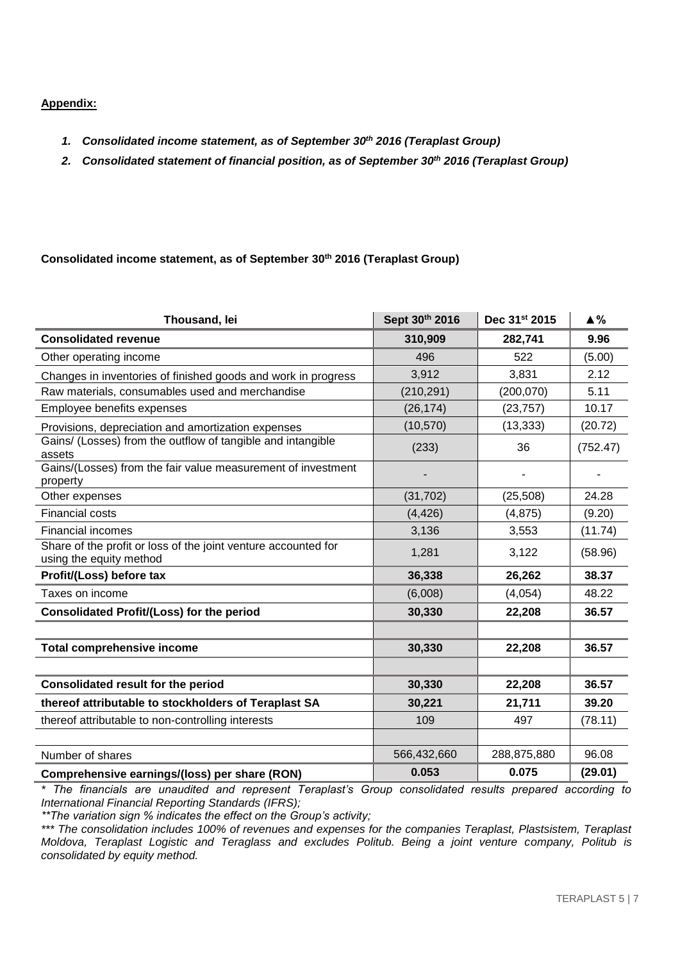### **Appendix:**

- *1. Consolidated income statement, as of September 30th 2016 (Teraplast Group)*
- *2. Consolidated statement of financial position, as of September 30th 2016 (Teraplast Group)*

## **Consolidated income statement, as of September 30th 2016 (Teraplast Group)**

| Thousand, lei                                                                             | Sept 30th 2016 | Dec 31st 2015 | $\triangle$ % |
|-------------------------------------------------------------------------------------------|----------------|---------------|---------------|
| <b>Consolidated revenue</b>                                                               | 310,909        | 282,741       | 9.96          |
| Other operating income                                                                    | 496            | 522           | (5.00)        |
| Changes in inventories of finished goods and work in progress                             | 3,912          | 3,831         | 2.12          |
| Raw materials, consumables used and merchandise                                           | (210, 291)     | (200, 070)    | 5.11          |
| Employee benefits expenses                                                                | (26, 174)      | (23, 757)     | 10.17         |
| Provisions, depreciation and amortization expenses                                        | (10, 570)      | (13, 333)     | (20.72)       |
| Gains/ (Losses) from the outflow of tangible and intangible<br>assets                     | (233)          | 36            | (752.47)      |
| Gains/(Losses) from the fair value measurement of investment<br>property                  |                |               |               |
| Other expenses                                                                            | (31, 702)      | (25, 508)     | 24.28         |
| <b>Financial costs</b>                                                                    | (4, 426)       | (4, 875)      | (9.20)        |
| <b>Financial incomes</b>                                                                  | 3,136          | 3,553         | (11.74)       |
| Share of the profit or loss of the joint venture accounted for<br>using the equity method | 1,281          | 3,122         | (58.96)       |
| Profit/(Loss) before tax                                                                  | 36,338         | 26,262        | 38.37         |
| Taxes on income                                                                           | (6,008)        | (4,054)       | 48.22         |
| Consolidated Profit/(Loss) for the period                                                 | 30,330         | 22,208        | 36.57         |
|                                                                                           |                |               |               |
| <b>Total comprehensive income</b>                                                         | 30,330         | 22,208        | 36.57         |
|                                                                                           |                |               |               |
| <b>Consolidated result for the period</b>                                                 | 30,330         | 22,208        | 36.57         |
| thereof attributable to stockholders of Teraplast SA                                      | 30,221         | 21,711        | 39.20         |
| thereof attributable to non-controlling interests                                         | 109            | 497           | (78.11)       |
|                                                                                           |                |               |               |
| Number of shares                                                                          | 566,432,660    | 288,875,880   | 96.08         |
| Comprehensive earnings/(loss) per share (RON)                                             | 0.053          | 0.075         | (29.01)       |

*\* The financials are unaudited and represent Teraplast's Group consolidated results prepared according to International Financial Reporting Standards (IFRS);*

*\*\*The variation sign % indicates the effect on the Group's activity;*

*\*\*\* The consolidation includes 100% of revenues and expenses for the companies Teraplast, Plastsistem, Teraplast Moldova, Teraplast Logistic and Teraglass and excludes Politub. Being a joint venture company, Politub is consolidated by equity method.*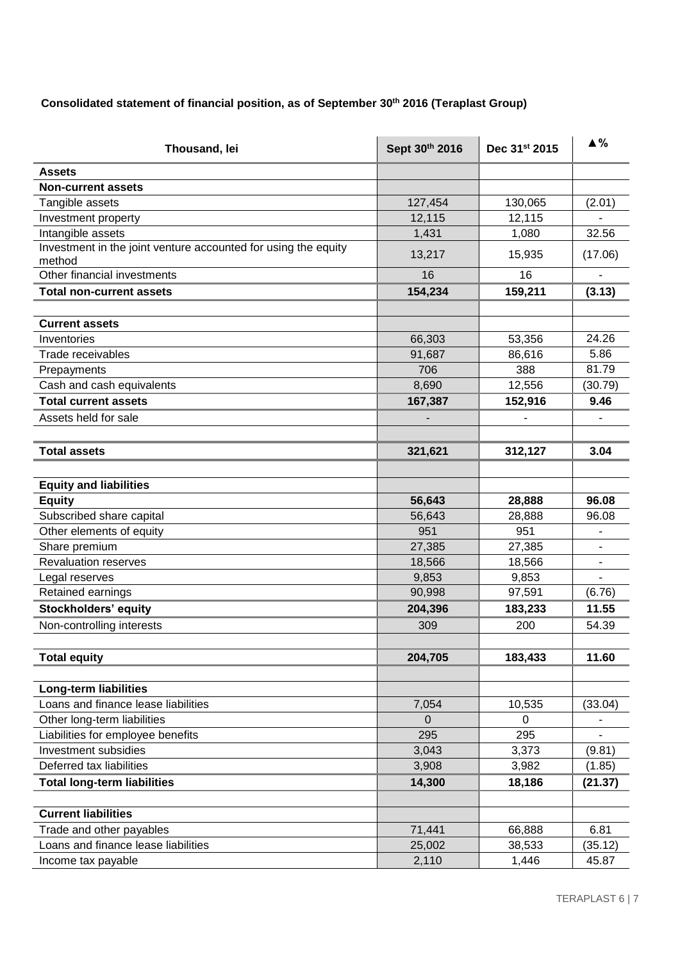# **Consolidated statement of financial position, as of September 30th 2016 (Teraplast Group)**

| Thousand, lei                                                  | Sept 30th 2016           | Dec 31st 2015 | $\triangle$ %            |
|----------------------------------------------------------------|--------------------------|---------------|--------------------------|
| <b>Assets</b>                                                  |                          |               |                          |
| <b>Non-current assets</b>                                      |                          |               |                          |
| Tangible assets                                                | 127,454                  | 130,065       | (2.01)                   |
| Investment property                                            | 12,115                   | 12,115        |                          |
| Intangible assets                                              | 1,431                    | 1,080         | 32.56                    |
| Investment in the joint venture accounted for using the equity |                          |               |                          |
| method                                                         | 13,217                   | 15,935        | (17.06)                  |
| Other financial investments                                    | 16                       | 16            | ä,                       |
| <b>Total non-current assets</b>                                | 154,234                  | 159,211       | (3.13)                   |
|                                                                |                          |               |                          |
| <b>Current assets</b>                                          |                          |               |                          |
| Inventories                                                    | 66,303                   | 53,356        | 24.26                    |
| Trade receivables                                              | 91,687                   | 86,616        | 5.86                     |
| Prepayments                                                    | 706                      | 388           | 81.79                    |
| Cash and cash equivalents                                      | 8,690                    | 12,556        | (30.79)                  |
| <b>Total current assets</b>                                    | 167,387                  | 152,916       | 9.46                     |
| Assets held for sale                                           | $\overline{\phantom{a}}$ |               |                          |
|                                                                |                          |               |                          |
| <b>Total assets</b>                                            | 321,621                  | 312,127       | 3.04                     |
|                                                                |                          |               |                          |
| <b>Equity and liabilities</b>                                  |                          |               |                          |
| <b>Equity</b>                                                  | 56,643                   | 28,888        | 96.08                    |
| Subscribed share capital                                       | 56,643                   | 28,888        | 96.08                    |
| Other elements of equity                                       | 951                      | 951           |                          |
| Share premium                                                  | 27,385                   | 27,385        |                          |
| <b>Revaluation reserves</b>                                    | 18,566                   | 18,566        | $\overline{\phantom{0}}$ |
| Legal reserves                                                 | 9,853                    | 9,853         | $\overline{a}$           |
| Retained earnings                                              | 90,998                   | 97,591        | (6.76)                   |
| <b>Stockholders' equity</b>                                    | 204,396                  | 183,233       | 11.55                    |
| Non-controlling interests                                      | 309                      | 200           | 54.39                    |
|                                                                |                          |               |                          |
| <b>Total equity</b>                                            | 204,705                  | 183,433       | 11.60                    |
|                                                                |                          |               |                          |
| <b>Long-term liabilities</b>                                   |                          |               |                          |
| Loans and finance lease liabilities                            | 7,054                    | 10,535        | (33.04)                  |
| Other long-term liabilities                                    | 0                        | 0             |                          |
| Liabilities for employee benefits                              | 295                      | 295           |                          |
| Investment subsidies                                           | 3,043                    | 3,373         | (9.81)                   |
| Deferred tax liabilities                                       | 3,908                    | 3,982         | (1.85)                   |
|                                                                |                          |               |                          |
| <b>Total long-term liabilities</b>                             | 14,300                   | 18,186        | (21.37)                  |
| <b>Current liabilities</b>                                     |                          |               |                          |
| Trade and other payables                                       | 71,441                   | 66,888        | 6.81                     |
| Loans and finance lease liabilities                            | 25,002                   | 38,533        | (35.12)                  |
| Income tax payable                                             | 2,110                    | 1,446         | 45.87                    |
|                                                                |                          |               |                          |